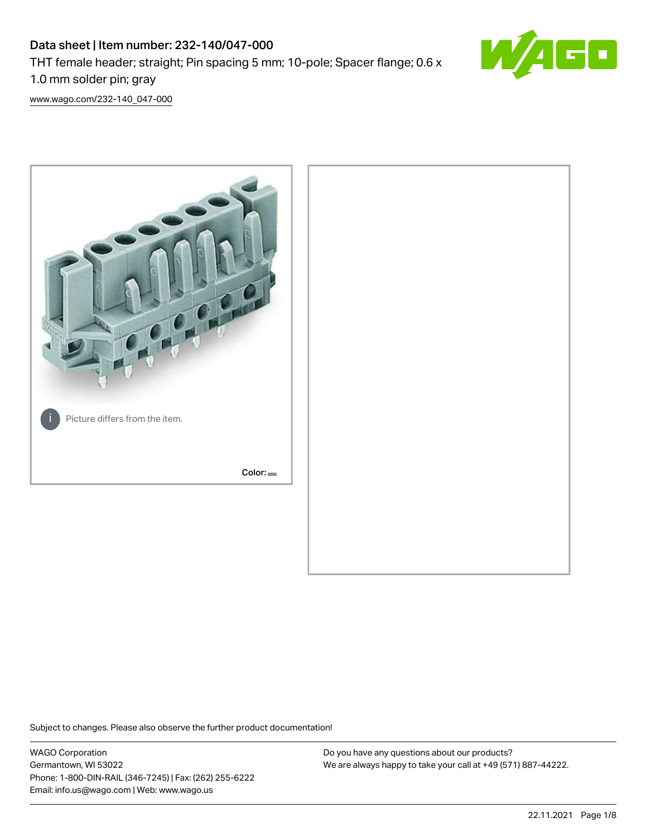# Data sheet | Item number: 232-140/047-000 THT female header; straight; Pin spacing 5 mm; 10-pole; Spacer flange; 0.6 x 1.0 mm solder pin; gray



[www.wago.com/232-140\\_047-000](http://www.wago.com/232-140_047-000)



Subject to changes. Please also observe the further product documentation!

WAGO Corporation Germantown, WI 53022 Phone: 1-800-DIN-RAIL (346-7245) | Fax: (262) 255-6222 Email: info.us@wago.com | Web: www.wago.us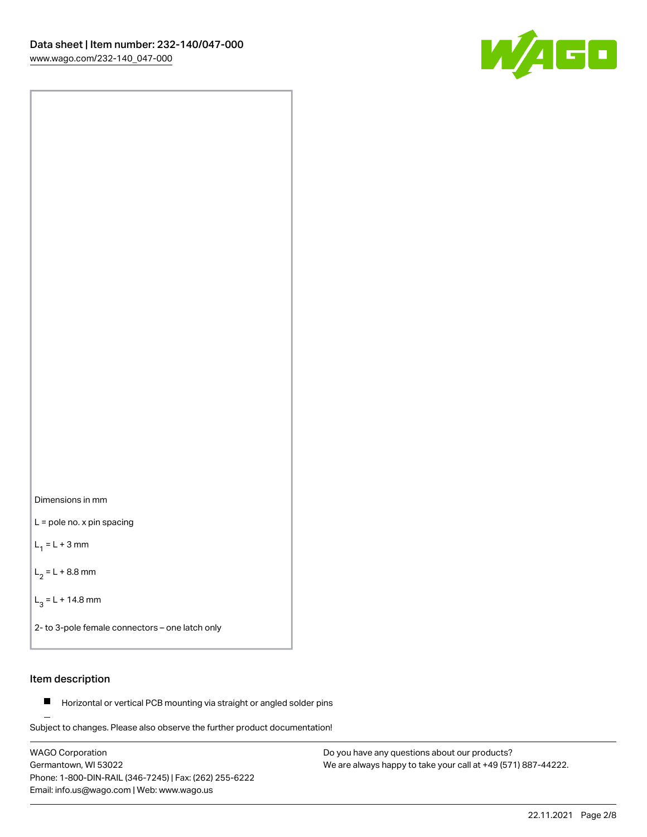



L = pole no. x pin spacing

 $L_1 = L + 3$  mm

 $L_2 = L + 8.8$  mm

 $L_3 = L + 14.8$  mm

2- to 3-pole female connectors – one latch only

# Item description

**Horizontal or vertical PCB mounting via straight or angled solder pins** 

Subject to changes. Please also observe the further product documentation! For board-to-board and board-to-wire connections

WAGO Corporation Germantown, WI 53022 Phone: 1-800-DIN-RAIL (346-7245) | Fax: (262) 255-6222 Email: info.us@wago.com | Web: www.wago.us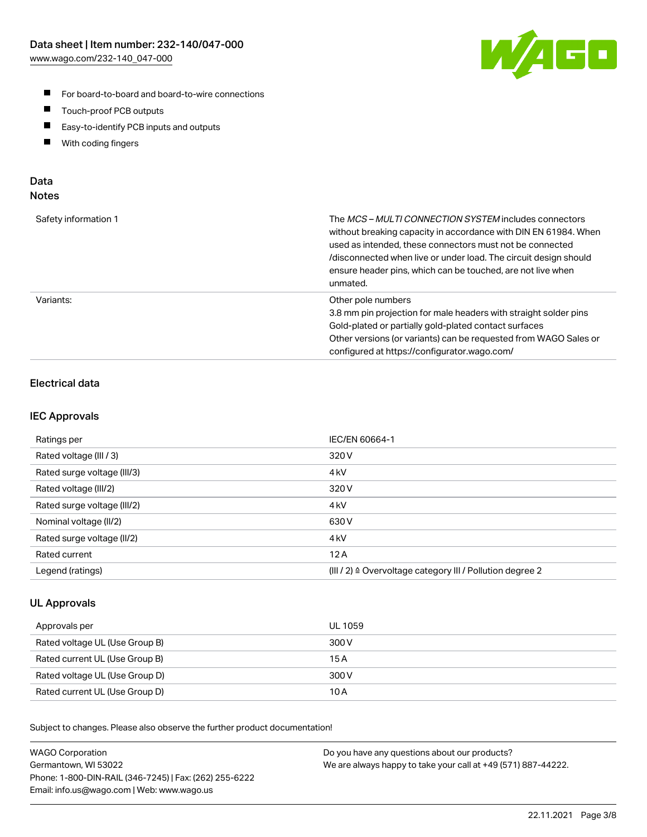

- For board-to-board and board-to-wire connections
- $\blacksquare$ Touch-proof PCB outputs
- $\blacksquare$ Easy-to-identify PCB inputs and outputs
- $\blacksquare$ With coding fingers

# Data **Notes**

| Safety information 1 | The <i>MCS – MULTI CONNECTION SYSTEM</i> includes connectors<br>without breaking capacity in accordance with DIN EN 61984. When<br>used as intended, these connectors must not be connected<br>/disconnected when live or under load. The circuit design should<br>ensure header pins, which can be touched, are not live when<br>unmated. |
|----------------------|--------------------------------------------------------------------------------------------------------------------------------------------------------------------------------------------------------------------------------------------------------------------------------------------------------------------------------------------|
| Variants:            | Other pole numbers<br>3.8 mm pin projection for male headers with straight solder pins<br>Gold-plated or partially gold-plated contact surfaces<br>Other versions (or variants) can be requested from WAGO Sales or<br>configured at https://configurator.wago.com/                                                                        |

# Electrical data

# IEC Approvals

| Ratings per                 | IEC/EN 60664-1                                                        |
|-----------------------------|-----------------------------------------------------------------------|
| Rated voltage (III / 3)     | 320 V                                                                 |
| Rated surge voltage (III/3) | 4 <sub>k</sub> V                                                      |
| Rated voltage (III/2)       | 320 V                                                                 |
| Rated surge voltage (III/2) | 4 <sub>k</sub> V                                                      |
| Nominal voltage (II/2)      | 630 V                                                                 |
| Rated surge voltage (II/2)  | 4 <sub>kV</sub>                                                       |
| Rated current               | 12A                                                                   |
| Legend (ratings)            | $(III / 2)$ $\triangle$ Overvoltage category III / Pollution degree 2 |

# UL Approvals

| Approvals per                  | UL 1059 |
|--------------------------------|---------|
| Rated voltage UL (Use Group B) | 300 V   |
| Rated current UL (Use Group B) | 15 A    |
| Rated voltage UL (Use Group D) | 300 V   |
| Rated current UL (Use Group D) | 10 A    |

Subject to changes. Please also observe the further product documentation!

| <b>WAGO Corporation</b>                                | Do you have any questions about our products?                 |
|--------------------------------------------------------|---------------------------------------------------------------|
| Germantown, WI 53022                                   | We are always happy to take your call at +49 (571) 887-44222. |
| Phone: 1-800-DIN-RAIL (346-7245)   Fax: (262) 255-6222 |                                                               |
| Email: info.us@wago.com   Web: www.wago.us             |                                                               |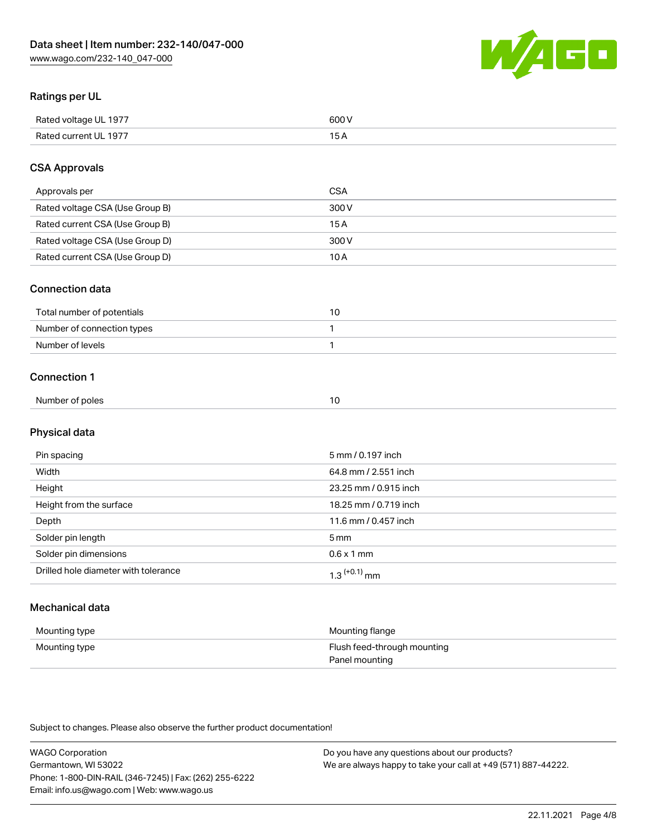

# Ratings per UL

| Rated voltage UL 1977                | COO V<br>ור |
|--------------------------------------|-------------|
| <b>Rated</b><br>UL 1977<br>curront l | _____       |

# CSA Approvals

| Approvals per                   | <b>CSA</b> |
|---------------------------------|------------|
| Rated voltage CSA (Use Group B) | 300 V      |
| Rated current CSA (Use Group B) | 15 A       |
| Rated voltage CSA (Use Group D) | 300 V      |
| Rated current CSA (Use Group D) | 10 A       |

## Connection data

| Total number of potentials |  |
|----------------------------|--|
| Number of connection types |  |
| Number of levels           |  |

## Connection 1

| Number of poles |
|-----------------|
|-----------------|

# Physical data

| Pin spacing                          | 5 mm / 0.197 inch     |
|--------------------------------------|-----------------------|
| Width                                | 64.8 mm / 2.551 inch  |
| Height                               | 23.25 mm / 0.915 inch |
| Height from the surface              | 18.25 mm / 0.719 inch |
| Depth                                | 11.6 mm / 0.457 inch  |
| Solder pin length                    | 5 <sub>mm</sub>       |
| Solder pin dimensions                | $0.6 \times 1$ mm     |
| Drilled hole diameter with tolerance | $1.3$ $(+0.1)$ mm     |

# Mechanical data

| Mounting type | Mounting flange             |
|---------------|-----------------------------|
| Mounting type | Flush feed-through mounting |
|               | Panel mounting              |

Subject to changes. Please also observe the further product documentation!

| <b>WAGO Corporation</b>                                | Do you have any questions about our products?                 |
|--------------------------------------------------------|---------------------------------------------------------------|
| Germantown, WI 53022                                   | We are always happy to take your call at +49 (571) 887-44222. |
| Phone: 1-800-DIN-RAIL (346-7245)   Fax: (262) 255-6222 |                                                               |
| Email: info.us@wago.com   Web: www.wago.us             |                                                               |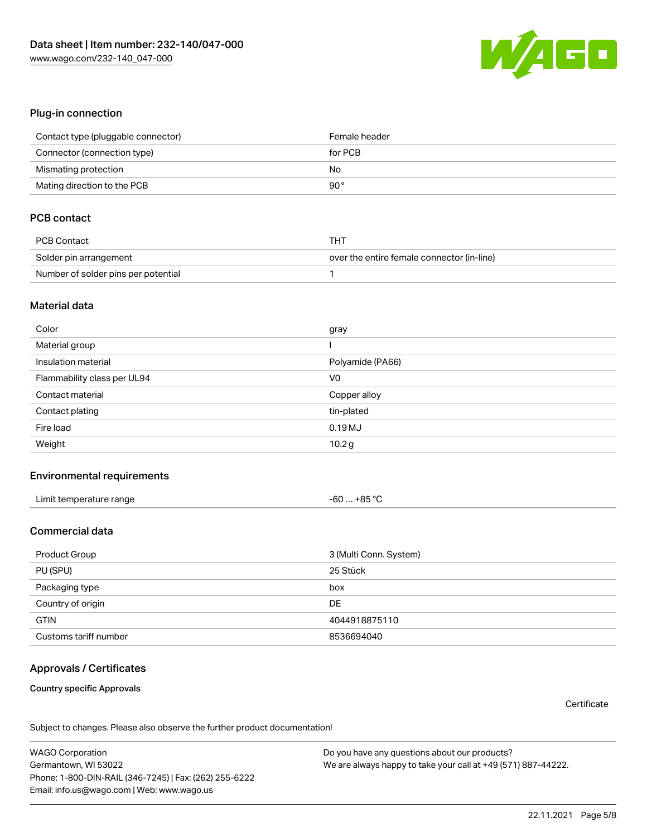

#### Plug-in connection

| Contact type (pluggable connector) | Female header |
|------------------------------------|---------------|
| Connector (connection type)        | for PCB       |
| Mismating protection               | No            |
| Mating direction to the PCB        | 90°           |

# PCB contact

| PCB Contact                         | THT                                        |
|-------------------------------------|--------------------------------------------|
| Solder pin arrangement              | over the entire female connector (in-line) |
| Number of solder pins per potential |                                            |

#### Material data

| Color                       | gray              |
|-----------------------------|-------------------|
| Material group              |                   |
| Insulation material         | Polyamide (PA66)  |
| Flammability class per UL94 | V <sub>0</sub>    |
| Contact material            | Copper alloy      |
| Contact plating             | tin-plated        |
| Fire load                   | 0.19MJ            |
| Weight                      | 10.2 <sub>g</sub> |

#### Environmental requirements

| Limit temperature range | -60  +85 °C |
|-------------------------|-------------|
|-------------------------|-------------|

## Commercial data

| Product Group         | 3 (Multi Conn. System) |
|-----------------------|------------------------|
| PU (SPU)              | 25 Stück               |
| Packaging type        | box                    |
| Country of origin     | DE                     |
| <b>GTIN</b>           | 4044918875110          |
| Customs tariff number | 8536694040             |

# Approvals / Certificates

#### Country specific Approvals

**Certificate** 

Subject to changes. Please also observe the further product documentation!

WAGO Corporation Germantown, WI 53022 Phone: 1-800-DIN-RAIL (346-7245) | Fax: (262) 255-6222 Email: info.us@wago.com | Web: www.wago.us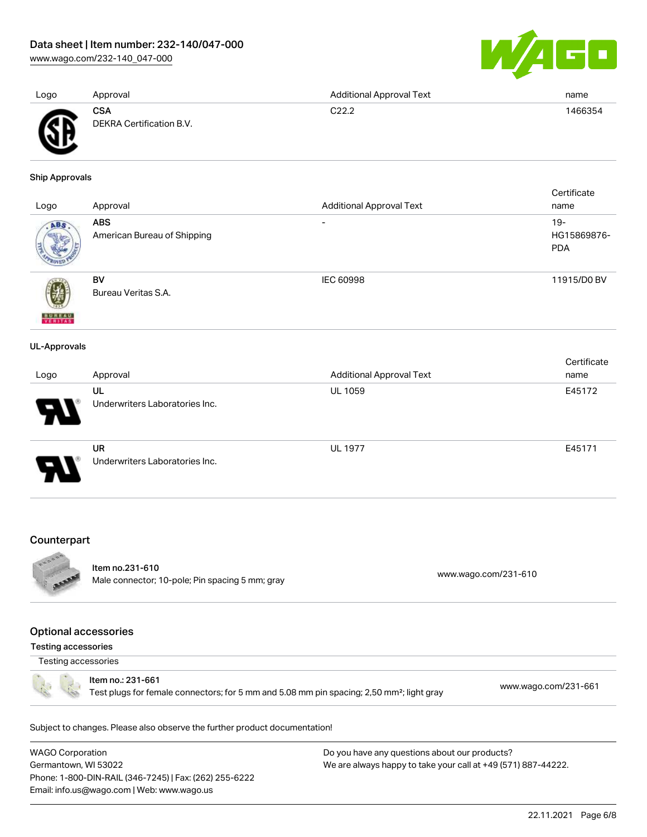[www.wago.com/232-140\\_047-000](http://www.wago.com/232-140_047-000)



| Logo | Approval                               | <b>Additional Approval Text</b> | name    |
|------|----------------------------------------|---------------------------------|---------|
| Ж    | <b>CSA</b><br>DEKRA Certification B.V. | C22.2                           | 1466354 |

#### Ship Approvals

|                     |                             |                                 | Certificate |
|---------------------|-----------------------------|---------------------------------|-------------|
| Logo                | Approval                    | <b>Additional Approval Text</b> | name        |
| ABS.                | <b>ABS</b>                  | $\overline{\phantom{a}}$        | $19 -$      |
|                     | American Bureau of Shipping |                                 | HG15869876- |
|                     |                             |                                 | <b>PDA</b>  |
|                     | BV                          | IEC 60998                       | 11915/D0 BV |
|                     | Bureau Veritas S.A.         |                                 |             |
| <b>BUREAU</b>       |                             |                                 |             |
| <b>UL-Approvals</b> |                             |                                 |             |
|                     |                             |                                 | Certificate |
| Logo                | Approval                    | <b>Additional Approval Text</b> | name        |

| Luyu | <b>Apploval</b>                             | <b>AUGILIOLIAI APPLOVAL LEAL</b> | <b>Hallle</b> |
|------|---------------------------------------------|----------------------------------|---------------|
| Э.   | UL<br>Underwriters Laboratories Inc.        | <b>UL 1059</b>                   | E45172        |
| D    | <b>UR</b><br>Underwriters Laboratories Inc. | <b>UL 1977</b>                   | E45171        |

# Counterpart



Item no.231-610 nem 10.231-610<br>Male connector; 10-pole; Pin spacing 5 mm; gray [www.wago.com/231-610](https://www.wago.com/231-610)

#### Optional accessories

Testing accessories

Testing accessories

Item no.: 231-661

Test plugs for female connectors; for 5 mm and 5.08 mm pin spacing; 2,50 mm²; light gray [www.wago.com/231-661](http://www.wago.com/231-661)

Subject to changes. Please also observe the further product documentation!

WAGO Corporation Germantown, WI 53022 Phone: 1-800-DIN-RAIL (346-7245) | Fax: (262) 255-6222 Email: info.us@wago.com | Web: www.wago.us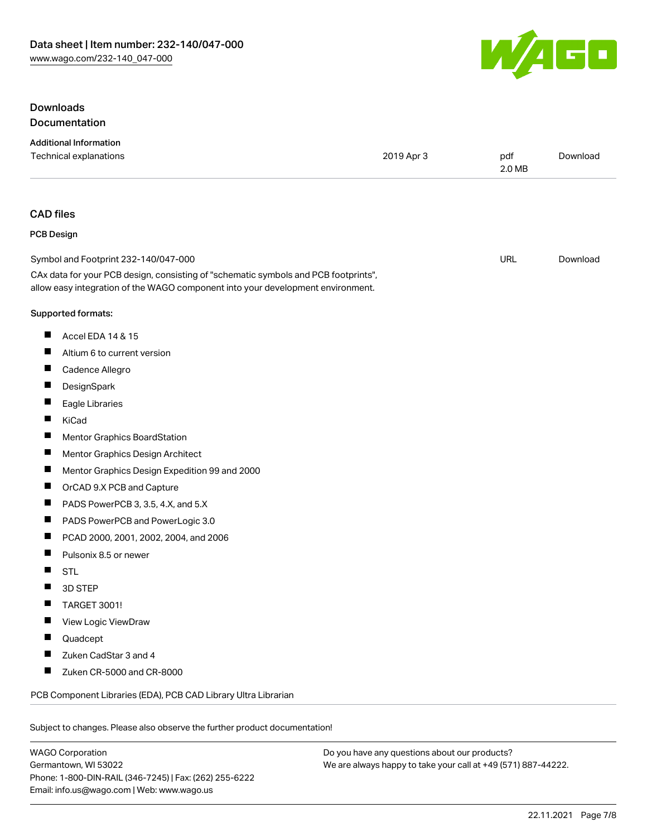

# Downloads **Documentation**

|                          | <b>Additional Information</b><br>Technical explanations                                                                                                                | 2019 Apr 3 | pdf<br>2.0 MB | Download |
|--------------------------|------------------------------------------------------------------------------------------------------------------------------------------------------------------------|------------|---------------|----------|
|                          |                                                                                                                                                                        |            |               |          |
| <b>CAD</b> files         |                                                                                                                                                                        |            |               |          |
| <b>PCB Design</b>        |                                                                                                                                                                        |            |               |          |
|                          | Symbol and Footprint 232-140/047-000                                                                                                                                   |            | URL           | Download |
|                          | CAx data for your PCB design, consisting of "schematic symbols and PCB footprints",<br>allow easy integration of the WAGO component into your development environment. |            |               |          |
|                          | Supported formats:                                                                                                                                                     |            |               |          |
| П                        | Accel EDA 14 & 15                                                                                                                                                      |            |               |          |
| П                        | Altium 6 to current version                                                                                                                                            |            |               |          |
| ш                        | Cadence Allegro                                                                                                                                                        |            |               |          |
| П                        | DesignSpark                                                                                                                                                            |            |               |          |
| ш                        | Eagle Libraries                                                                                                                                                        |            |               |          |
| П                        | KiCad                                                                                                                                                                  |            |               |          |
| п                        | Mentor Graphics BoardStation                                                                                                                                           |            |               |          |
| ш                        | Mentor Graphics Design Architect                                                                                                                                       |            |               |          |
| ш                        | Mentor Graphics Design Expedition 99 and 2000                                                                                                                          |            |               |          |
| ш                        | OrCAD 9.X PCB and Capture                                                                                                                                              |            |               |          |
| $\overline{\phantom{a}}$ | PADS PowerPCB 3, 3.5, 4.X, and 5.X                                                                                                                                     |            |               |          |
| п                        | PADS PowerPCB and PowerLogic 3.0                                                                                                                                       |            |               |          |
| П                        | PCAD 2000, 2001, 2002, 2004, and 2006                                                                                                                                  |            |               |          |
| п                        | Pulsonix 8.5 or newer                                                                                                                                                  |            |               |          |
| Ш                        | <b>STL</b>                                                                                                                                                             |            |               |          |
|                          | 3D STEP                                                                                                                                                                |            |               |          |
|                          | TARGET 3001!                                                                                                                                                           |            |               |          |
|                          | View Logic ViewDraw                                                                                                                                                    |            |               |          |
|                          | Quadcept                                                                                                                                                               |            |               |          |
|                          | Zuken CadStar 3 and 4                                                                                                                                                  |            |               |          |
| ш                        | Zuken CR-5000 and CR-8000                                                                                                                                              |            |               |          |
|                          | PCB Component Libraries (EDA), PCB CAD Library Ultra Librarian                                                                                                         |            |               |          |
|                          | Subject to changes. Please also observe the further product documentation!                                                                                             |            |               |          |